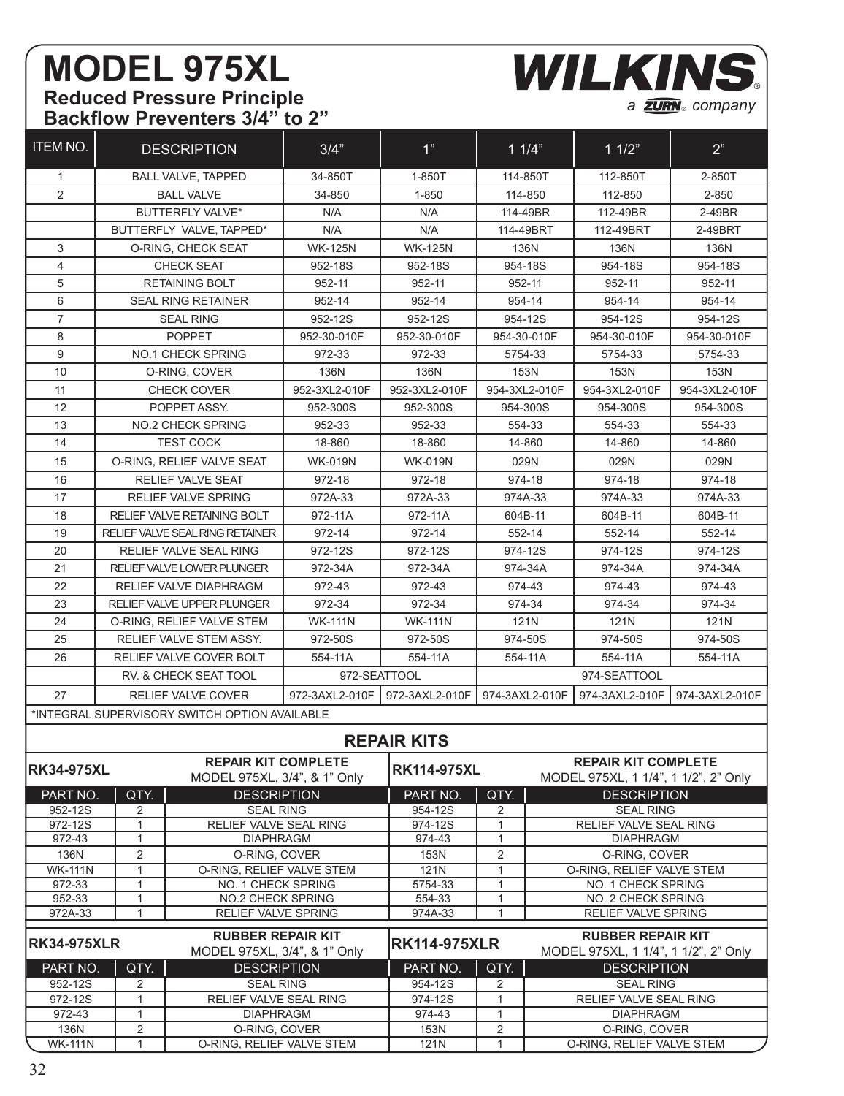## **MODEL 975XL Reduced Pressure Principle Backflow Preventers 3/4" to 2"**

a **ZURN**<sub>®</sub> company **WILKINS** 

| <b>ITEM NO.</b>                                       |                                    | <b>DESCRIPTION</b>                            | 3/4"                                                     | 1"                 | 11/4"               |                                      | 11/2"                                                            | 2"            |  |
|-------------------------------------------------------|------------------------------------|-----------------------------------------------|----------------------------------------------------------|--------------------|---------------------|--------------------------------------|------------------------------------------------------------------|---------------|--|
| 1                                                     |                                    | <b>BALL VALVE, TAPPED</b>                     | 34-850T                                                  | 1-850T             |                     | 114-850T                             | 112-850T                                                         | 2-850T        |  |
| $\overline{2}$                                        | <b>BALL VALVE</b>                  |                                               | 34-850                                                   | 1-850              | 114-850             |                                      | 112-850                                                          | 2-850         |  |
|                                                       | <b>BUTTERFLY VALVE*</b>            |                                               | N/A                                                      | N/A                | 114-49BR            |                                      | 112-49BR                                                         | 2-49BR        |  |
|                                                       | BUTTERFLY VALVE. TAPPED*           |                                               | N/A                                                      | N/A                | 114-49BRT           |                                      | 112-49BRT                                                        | 2-49BRT       |  |
| 3                                                     | O-RING, CHECK SEAT                 |                                               | <b>WK-125N</b>                                           | <b>WK-125N</b>     | 136N                |                                      | 136N                                                             | 136N          |  |
| $\overline{4}$                                        |                                    | <b>CHECK SEAT</b>                             | 952-18S                                                  | 952-18S            | 954-18S             |                                      | 954-18S                                                          | 954-18S       |  |
| 5                                                     | <b>RETAINING BOLT</b>              |                                               | 952-11                                                   | 952-11             | 952-11              |                                      | 952-11                                                           | 952-11        |  |
| 6                                                     | <b>SEAL RING RETAINER</b>          |                                               | 952-14                                                   | 952-14             | 954-14              |                                      | 954-14                                                           | 954-14        |  |
| 7                                                     |                                    | <b>SEAL RING</b>                              | 952-12S                                                  | 952-12S            | 954-12S             |                                      | 954-12S                                                          | 954-12S       |  |
| 8                                                     |                                    | <b>POPPET</b>                                 | 952-30-010F                                              | 952-30-010F        | 954-30-010F         |                                      | 954-30-010F                                                      | 954-30-010F   |  |
| 9                                                     |                                    | <b>NO.1 CHECK SPRING</b>                      | 972-33                                                   | 972-33             | 5754-33             |                                      | 5754-33                                                          | 5754-33       |  |
| 10                                                    |                                    | O-RING, COVER                                 | 136N                                                     | 136N               | 153N                |                                      | 153N                                                             | 153N          |  |
| 11                                                    |                                    | <b>CHECK COVER</b>                            | 952-3XL2-010F                                            | 952-3XL2-010F      | 954-3XL2-010F       |                                      | 954-3XL2-010F                                                    | 954-3XL2-010F |  |
| 12                                                    |                                    | POPPET ASSY.                                  | 952-300S                                                 | 952-300S           | 954-300S            |                                      | 954-300S                                                         | 954-300S      |  |
| 13                                                    |                                    | NO.2 CHECK SPRING                             | 952-33                                                   | 952-33             | 554-33              |                                      | 554-33                                                           | 554-33        |  |
| 14                                                    |                                    | <b>TEST COCK</b>                              | 18-860                                                   | 18-860             | 14-860              |                                      | 14-860                                                           | 14-860        |  |
| 15                                                    | O-RING. RELIEF VALVE SEAT          |                                               | <b>WK-019N</b>                                           | <b>WK-019N</b>     | 029N                |                                      | 029N                                                             | 029N          |  |
| 16                                                    | RELIEF VALVE SEAT                  |                                               | 972-18                                                   | 972-18             |                     | 974-18                               | 974-18                                                           | 974-18        |  |
| 17                                                    | <b>RELIEF VALVE SPRING</b>         |                                               | 972A-33                                                  | 972A-33            |                     | 974A-33                              | 974A-33                                                          | 974A-33       |  |
| 18                                                    | <b>RELIEF VALVE RETAINING BOLT</b> |                                               | 972-11A                                                  | 972-11A            | 604B-11             |                                      | 604B-11                                                          | 604B-11       |  |
| 19                                                    |                                    | <b>RELIEF VALVE SEAL RING RETAINER</b>        | 972-14                                                   | 972-14             | 552-14              |                                      | 552-14                                                           | 552-14        |  |
| 20                                                    | <b>RELIEF VALVE SEAL RING</b>      |                                               | 972-12S                                                  | 972-12S            | 974-12S             |                                      | 974-12S                                                          | 974-12S       |  |
| 21                                                    | RELIEF VALVE LOWER PLUNGER         |                                               | 972-34A                                                  | 972-34A            | 974-34A             |                                      | 974-34A                                                          | 974-34A       |  |
| 22                                                    | RELIEF VALVE DIAPHRAGM             |                                               | 972-43                                                   | 972-43             | 974-43              |                                      | 974-43                                                           | 974-43        |  |
| 23                                                    | RELIEF VALVE UPPER PLUNGER         |                                               | 972-34                                                   | 972-34             |                     | 974-34                               | 974-34                                                           | 974-34        |  |
| 24                                                    | O-RING, RELIEF VALVE STEM          |                                               | <b>WK-111N</b>                                           | <b>WK-111N</b>     |                     | 121N                                 | 121N                                                             | 121N          |  |
| 25                                                    | RELIEF VALVE STEM ASSY.            |                                               | 972-50S                                                  | 972-50S            | 974-50S             |                                      | 974-50S                                                          | 974-50S       |  |
| 26                                                    | RELIEF VALVE COVER BOLT            |                                               | 554-11A                                                  | 554-11A            | 554-11A             |                                      | 554-11A                                                          | 554-11A       |  |
|                                                       | RV. & CHECK SEAT TOOL              |                                               | 972-SEATTOOL                                             |                    |                     |                                      | 974-SEATTOOL                                                     |               |  |
| 27                                                    | <b>RELIEF VALVE COVER</b>          |                                               | 972-3AXL2-010F                                           | 972-3AXL2-010F     | 974-3AXL2-010F      |                                      | 974-3AXL2-010F<br>974-3AXL2-010F                                 |               |  |
|                                                       |                                    |                                               |                                                          |                    |                     |                                      |                                                                  |               |  |
|                                                       |                                    | *INTEGRAL SUPERVISORY SWITCH OPTION AVAILABLE |                                                          |                    |                     |                                      |                                                                  |               |  |
|                                                       |                                    |                                               |                                                          | <b>REPAIR KITS</b> |                     |                                      |                                                                  |               |  |
|                                                       |                                    | <b>REPAIR KIT COMPLETE</b>                    |                                                          |                    |                     | <b>REPAIR KIT COMPLETE</b>           |                                                                  |               |  |
| <b>RK34-975XL</b>                                     |                                    | MODEL 975XL, 3/4", & 1" Only                  |                                                          | <b>RK114-975XL</b> |                     | MODEL 975XL, 1 1/4", 1 1/2", 2" Only |                                                                  |               |  |
| PART NO.                                              | QTY.                               | <b>DESCRIPTION</b>                            |                                                          | PART NO.           | QTY.                |                                      | <b>DESCRIPTION</b>                                               |               |  |
| 952-12S                                               | 2                                  | <b>SEAL RING</b>                              |                                                          | 954-12S            | 2                   |                                      | <b>SEAL RING</b>                                                 |               |  |
| 972-12S                                               | $\mathbf{1}$<br>$\mathbf{1}$       | RELIEF VALVE SEAL RING                        |                                                          | 974-12S            | $\mathbf{1}$        |                                      | RELIEF VALVE SEAL RING                                           |               |  |
| 972-43<br>136N                                        | 2                                  | <b>DIAPHRAGM</b><br>O-RING, COVER             |                                                          | 974-43<br>153N     | 1<br>2              |                                      | <b>DIAPHRAGM</b><br>O-RING, COVER                                |               |  |
| <b>WK-111N</b>                                        | $\mathbf{1}$                       | O-RING, RELIEF VALVE STEM                     |                                                          | 121N               | 1                   |                                      | O-RING, RELIEF VALVE STEM                                        |               |  |
| 972-33                                                | $\mathbf{1}$<br>NO. 1 CHECK SPRING |                                               |                                                          | 5754-33            | 1                   | NO. 1 CHECK SPRING                   |                                                                  |               |  |
| 952-33                                                | $\mathbf{1}$<br>NO.2 CHECK SPRING  |                                               |                                                          | 554-33             | $\mathbf{1}$        | NO. 2 CHECK SPRING                   |                                                                  |               |  |
| $\mathbf{1}$<br><b>RELIEF VALVE SPRING</b><br>972A-33 |                                    |                                               |                                                          | 974A-33            | $\mathbf{1}$        |                                      | RELIEF VALVE SPRING                                              |               |  |
| <b>RK34-975XLR</b>                                    |                                    |                                               | <b>RUBBER REPAIR KIT</b><br>MODEL 975XL, 3/4", & 1" Only |                    | <b>RK114-975XLR</b> |                                      | <b>RUBBER REPAIR KIT</b><br>MODEL 975XL, 1 1/4", 1 1/2", 2" Only |               |  |
| QTY.<br>PART NO.                                      |                                    | <b>DESCRIPTION</b>                            |                                                          | PART NO.           | QTY.                |                                      | <b>DESCRIPTION</b>                                               |               |  |
| 952-12S                                               | $\overline{2}$                     | <b>SEAL RING</b>                              |                                                          | 954-12S            | 2                   |                                      | <b>SEAL RING</b>                                                 |               |  |
| 972-12S                                               | $\mathbf{1}$                       | RELIEF VALVE SEAL RING                        |                                                          | 974-12S            | $\mathbf{1}$        |                                      | RELIEF VALVE SEAL RING                                           |               |  |
| 972-43                                                | 1                                  | <b>DIAPHRAGM</b>                              |                                                          | 974-43             | 1                   |                                      | <b>DIAPHRAGM</b>                                                 |               |  |
| 136N<br><b>WK-111N</b>                                | $\overline{2}$<br>$\mathbf{1}$     | O-RING, COVER<br>O-RING, RELIEF VALVE STEM    |                                                          | 153N<br>121N       | 2<br>$\mathbf{1}$   |                                      | O-RING, COVER<br>O-RING, RELIEF VALVE STEM                       |               |  |

1 O-RING, RELIEF VALVE STEM 121N 1 1 O-RING, RELIEF VALVE STEM